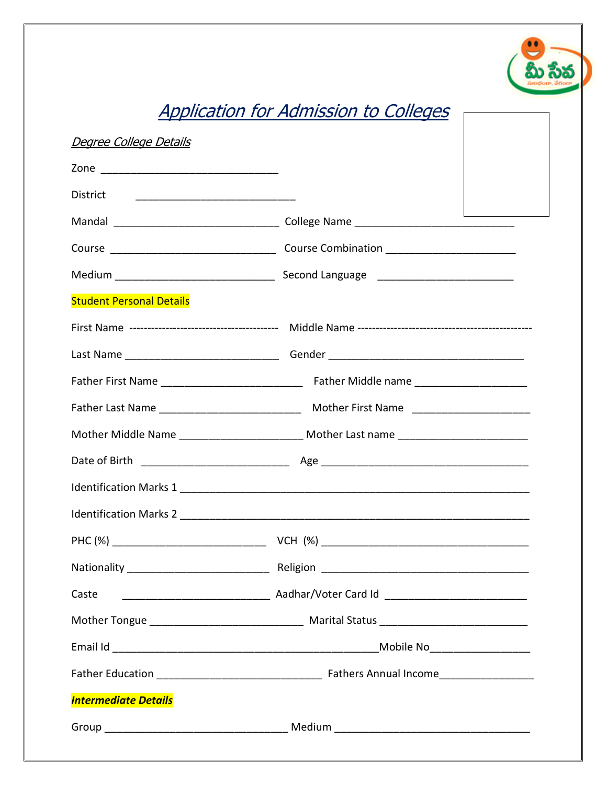## Application for Admission to Colleges

| Degree College Details          |                                                                                  |  |  |
|---------------------------------|----------------------------------------------------------------------------------|--|--|
|                                 |                                                                                  |  |  |
|                                 |                                                                                  |  |  |
|                                 |                                                                                  |  |  |
|                                 |                                                                                  |  |  |
|                                 |                                                                                  |  |  |
| <b>Student Personal Details</b> |                                                                                  |  |  |
|                                 |                                                                                  |  |  |
|                                 |                                                                                  |  |  |
|                                 |                                                                                  |  |  |
|                                 |                                                                                  |  |  |
|                                 | Mother Middle Name _________________________ Mother Last name __________________ |  |  |
|                                 |                                                                                  |  |  |
|                                 |                                                                                  |  |  |
|                                 |                                                                                  |  |  |
|                                 |                                                                                  |  |  |
|                                 |                                                                                  |  |  |
| Caste                           |                                                                                  |  |  |
|                                 |                                                                                  |  |  |
|                                 |                                                                                  |  |  |
|                                 |                                                                                  |  |  |
| <b>Intermediate Details</b>     |                                                                                  |  |  |
|                                 |                                                                                  |  |  |